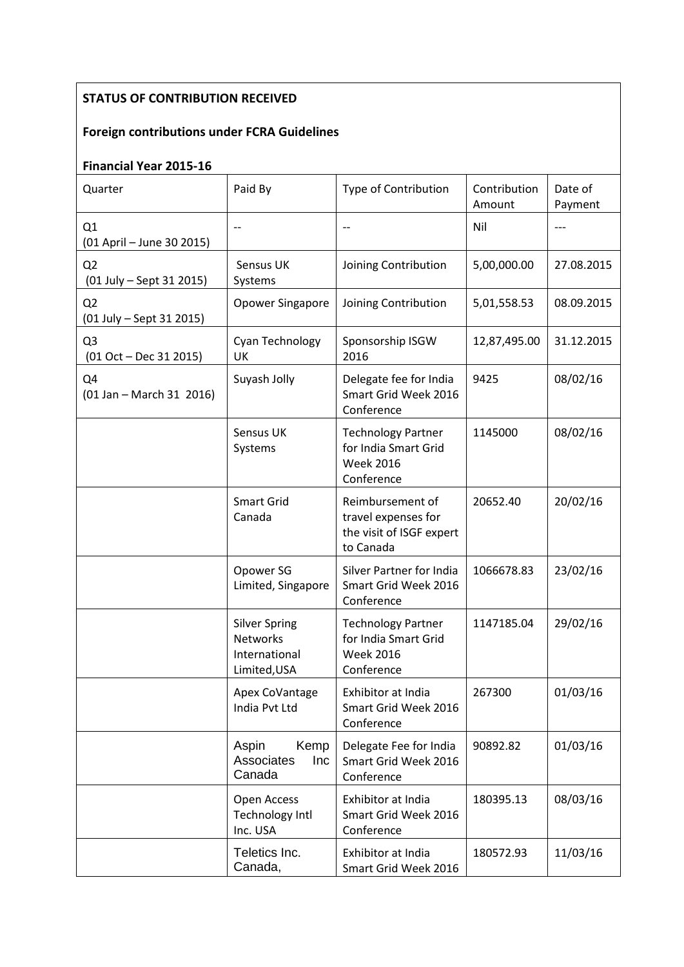## **STATUS OF CONTRIBUTION RECEIVED**

## **Foreign contributions under FCRA Guidelines**

## **Financial Year 2015-16**

| Quarter                                                  | Paid By                                                                  | Type of Contribution                                                                | Contribution<br>Amount | Date of<br>Payment |
|----------------------------------------------------------|--------------------------------------------------------------------------|-------------------------------------------------------------------------------------|------------------------|--------------------|
| Q1<br>(01 April - June 30 2015)                          |                                                                          |                                                                                     | Nil                    | ---                |
| Q <sub>2</sub><br>(01 July - Sept 31 2015)               | Sensus UK<br>Systems                                                     | Joining Contribution                                                                | 5,00,000.00            | 27.08.2015         |
| Q2<br>(01 July - Sept 31 2015)                           | Opower Singapore                                                         | Joining Contribution                                                                | 5,01,558.53            | 08.09.2015         |
| Q <sub>3</sub><br>$(01 Oct - Dec 31 2015)$               | Cyan Technology<br>UK                                                    | Sponsorship ISGW<br>2016                                                            | 12,87,495.00           | 31.12.2015         |
| Q4<br>$(01 \text{ Jan} - \text{March } 31 \text{ 2016})$ | Suyash Jolly                                                             | Delegate fee for India<br>Smart Grid Week 2016<br>Conference                        | 9425                   | 08/02/16           |
|                                                          | Sensus UK<br>Systems                                                     | <b>Technology Partner</b><br>for India Smart Grid<br><b>Week 2016</b><br>Conference | 1145000                | 08/02/16           |
|                                                          | <b>Smart Grid</b><br>Canada                                              | Reimbursement of<br>travel expenses for<br>the visit of ISGF expert<br>to Canada    | 20652.40               | 20/02/16           |
|                                                          | Opower SG<br>Limited, Singapore                                          | Silver Partner for India<br>Smart Grid Week 2016<br>Conference                      | 1066678.83             | 23/02/16           |
|                                                          | <b>Silver Spring</b><br><b>Networks</b><br>International<br>Limited, USA | <b>Technology Partner</b><br>for India Smart Grid<br><b>Week 2016</b><br>Conference | 1147185.04             | 29/02/16           |
|                                                          | Apex CoVantage<br>India Pvt Ltd                                          | Exhibitor at India<br>Smart Grid Week 2016<br>Conference                            | 267300                 | 01/03/16           |
|                                                          | Aspin<br>Kemp<br>Associates<br>Inc<br>Canada                             | Delegate Fee for India<br>Smart Grid Week 2016<br>Conference                        | 90892.82               | 01/03/16           |
|                                                          | Open Access<br><b>Technology Intl</b><br>Inc. USA                        | Exhibitor at India<br>Smart Grid Week 2016<br>Conference                            | 180395.13              | 08/03/16           |
|                                                          | Teletics Inc.<br>Canada,                                                 | Exhibitor at India<br>Smart Grid Week 2016                                          | 180572.93              | 11/03/16           |